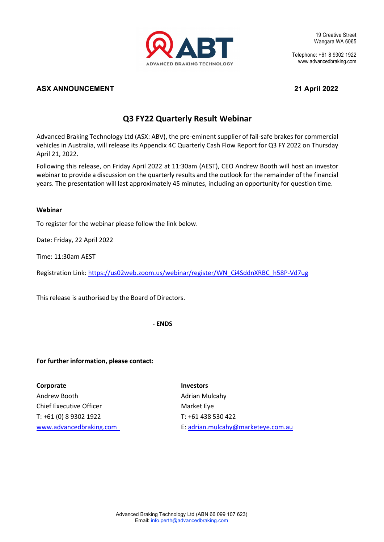

19 Creative Street Wangara WA 6065

Telephone: +61 8 9302 1922 www.advancedbraking.com

## **ASX ANNOUNCEMENT 21 April 2022**

# **Q3 FY22 Quarterly Result Webinar**

Advanced Braking Technology Ltd (ASX: ABV), the pre-eminent supplier of fail-safe brakes for commercial vehicles in Australia, will release its Appendix 4C Quarterly Cash Flow Report for Q3 FY 2022 on Thursday April 21, 2022.

Following this release, on Friday April 2022 at 11:30am (AEST), CEO Andrew Booth will host an investor webinar to provide a discussion on the quarterly results and the outlook for the remainder of the financial years. The presentation will last approximately 45 minutes, including an opportunity for question time.

### **Webinar**

To register for the webinar please follow the link below.

Date: Friday, 22 April 2022

Time: 11:30am AEST

Registration Link: [https://us02web.zoom.us/webinar/register/WN\\_Ci4SddnXRBC\\_h58P-Vd7ug](https://us02web.zoom.us/webinar/register/WN_Ci4SddnXRBC_h58P-Vd7ug)

This release is authorised by the Board of Directors.

**- ENDS**

## **For further information, please contact:**

**Corporate** Investors Andrew Booth **Adrian Mulcahy** Adrian Mulcahy Chief Executive Officer **Market Eye** Market Eye T: +61 (0) 8 9302 1922 T: +61 438 530 422

[www.advancedbraking.com](http://www.advancedbraking.com/) E[: adrian.mulcahy@marketeye.com.au](mailto:adrian.mulcahy@marketeye.com.au)